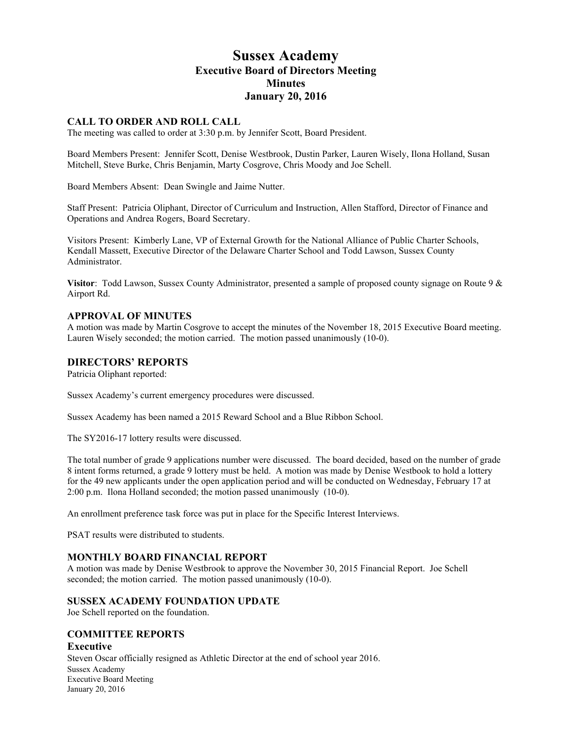# **Sussex Academy Executive Board of Directors Meeting Minutes January 20, 2016**

## **CALL TO ORDER AND ROLL CALL**

The meeting was called to order at 3:30 p.m. by Jennifer Scott, Board President.

Board Members Present: Jennifer Scott, Denise Westbrook, Dustin Parker, Lauren Wisely, Ilona Holland, Susan Mitchell, Steve Burke, Chris Benjamin, Marty Cosgrove, Chris Moody and Joe Schell.

Board Members Absent: Dean Swingle and Jaime Nutter.

Staff Present: Patricia Oliphant, Director of Curriculum and Instruction, Allen Stafford, Director of Finance and Operations and Andrea Rogers, Board Secretary.

Visitors Present: Kimberly Lane, VP of External Growth for the National Alliance of Public Charter Schools, Kendall Massett, Executive Director of the Delaware Charter School and Todd Lawson, Sussex County Administrator.

**Visitor**: Todd Lawson, Sussex County Administrator, presented a sample of proposed county signage on Route 9 & Airport Rd.

## **APPROVAL OF MINUTES**

A motion was made by Martin Cosgrove to accept the minutes of the November 18, 2015 Executive Board meeting. Lauren Wisely seconded; the motion carried. The motion passed unanimously (10-0).

## **DIRECTORS' REPORTS**

Patricia Oliphant reported:

Sussex Academy's current emergency procedures were discussed.

Sussex Academy has been named a 2015 Reward School and a Blue Ribbon School.

The SY2016-17 lottery results were discussed.

The total number of grade 9 applications number were discussed. The board decided, based on the number of grade 8 intent forms returned, a grade 9 lottery must be held. A motion was made by Denise Westbook to hold a lottery for the 49 new applicants under the open application period and will be conducted on Wednesday, February 17 at 2:00 p.m. Ilona Holland seconded; the motion passed unanimously (10-0).

An enrollment preference task force was put in place for the Specific Interest Interviews.

PSAT results were distributed to students.

## **MONTHLY BOARD FINANCIAL REPORT**

A motion was made by Denise Westbrook to approve the November 30, 2015 Financial Report. Joe Schell seconded; the motion carried. The motion passed unanimously (10-0).

## **SUSSEX ACADEMY FOUNDATION UPDATE**

Joe Schell reported on the foundation.

## **COMMITTEE REPORTS**

## **Executive**

Sussex Academy Executive Board Meeting January 20, 2016 Steven Oscar officially resigned as Athletic Director at the end of school year 2016.